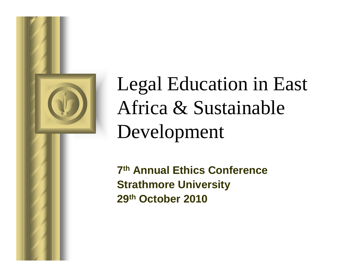

# Legal Education in East Africa & Sustainable Development

**7th Annual Ethics ConferenceStrathmore University29th October 2010**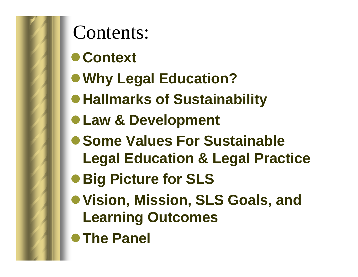

Contents:

- **Context**
- **Why Legal Education?**
- $\bullet$  **Hallmarks of Sustainability**
- **Law & Development**
- **Some Values For Sustainable Legal Education & Legal Practice**
- **Big Picture for SLS**
- **Vision, Mission, SLS Goals, and Learning Outcomes**
- **The Panel**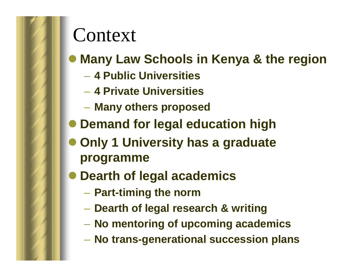#### Context

## **Many Law Schools in Kenya & the region**

- **4 Public Universities**
- **4 Private Universities**
- $\mathcal{L}_{\mathcal{A}}$ **Many others proposed**
- **Demand for legal education high**
- **Only 1 University has a graduate programme**
- **Dearth of legal academics**
	- –**Part-timing the norm**
	- Haarth of Ianal rac*l* **Dearth of legal research & writing**
	- **No mentoring of upcoming academics**
	- **No trans-generational succession plans**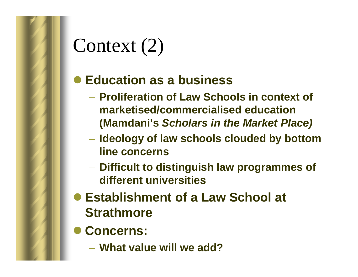## Context (2)

#### **Education as a business**

- – **Proliferation of Law Schools in context of marketised/commercialised education (Mamdani's Scholars in the Market Place)**
- – **Ideology of law schools clouded by bottom line concerns**
- **Difficult to distinguish law programmes of different universities**
- **Establishment of a Law School at Strathmore**
- **Concerns:**
	- **What value will we add?**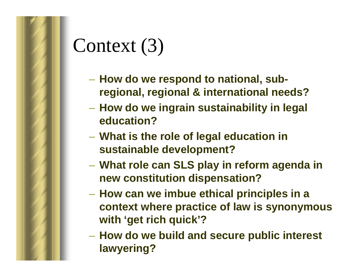# Context (3)

- **How do we respond to national, subregional, regional & international needs?**
- – **How do we ingrain sustainability in legal education?**
- **What is the role of legal education in sustainable development?**
- – **What role can SLS play in reform agenda in new constitution dispensation?**
- **How can we imbue ethical principles in a context where practice of law is synonymous with 'get rich quick'?**
- **How do we build and secure public interest lawyering?**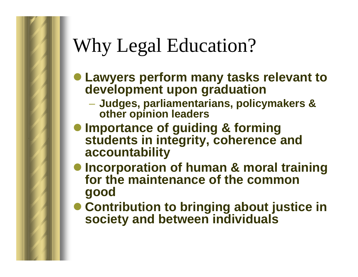#### Why Legal Education?

- **Lawyers perform many tasks relevant to development upon graduation**
	- Luddes narliamentarians nollo **Judges, parliamentarians, policymakers & other opinion leaders**
- **Importance of guiding & forming students in integrity, coherence and accountability**
- **Incorporation of human & moral training for the maintenance of the common good**
- **Contribution to bringing about justice in society and between individuals**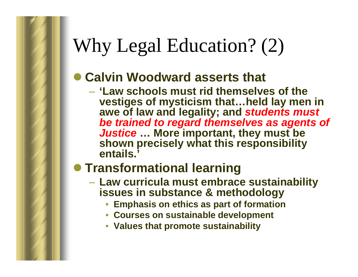#### Why Legal Education? (2)

#### **Calvin Woodward asserts that**

 **'Law schools must rid themselves of the vestiges of mysticism that…held lay men in awe of law and legality; and students must be trained to regard themselves as agents of Justice … More important, they must be shown precisely what this responsibility entails.'**

#### **Transformational learning**

- – **Law curricula must embrace sustainability issues in substance & methodology**
	- **Emphasis on ethics as part of formation**•
	- **Courses on sustainable development**
	- **Values that promote sustainability**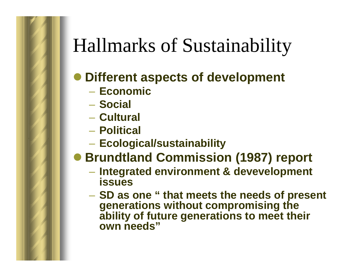#### Hallmarks of Sustainability

#### **Different aspects of development**

- **Economic**
- $\mathcal{L}_{\mathcal{A}}$ **Social**
- **Cultural**
- **Political**
- –**Ecological/sustainability**
- **Brundtland Commission (1987) report**
	- **Integrated environment & devevelopment issues**
	- SD 26 **SD as one " that meets the needs of present generations without compromising the ability of future generations to meet their own needs"**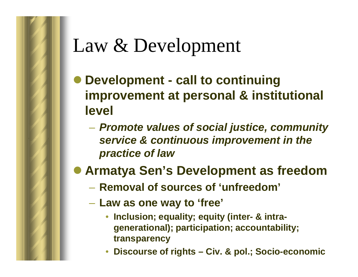## Law & Development

- **Development - call to continuing improvement at personal & institutional level**
	- **Promote values of social justice, community service & continuous improvement in the practice of law**
- **Armatya Sen's Development as freedom**
	- **Removal of sources of 'unfreedom'**
	- **Law as one way to 'free'**
		- • **Inclusion; equality; equity (inter- & intragenerational); participation; accountability; transparency**
		- •**Discourse of rights – Civ. & pol.; Socio-economic**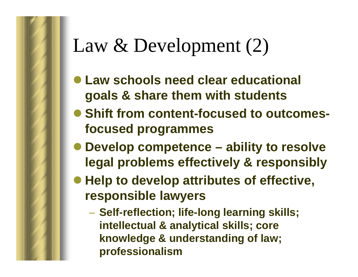#### Law & Development (2)

- **Law schools need clear educational goals & share them with students**
- **Shift from content-focused to outcomesfocused programmes**
- **Develop competence – ability to resolve legal problems effectively & responsibly**
- **Help to develop attributes of effective, responsible lawyers**
	- **Self-reflection; life-long learning skills; intellectual & analytical skills; core knowledge & understanding of law; professionalism**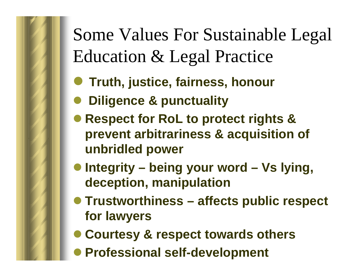#### Some Values For Sustainable Legal Education & Legal Practice

- $\bullet$ **Truth, justice, fairness, honour**
- $\bullet$ **Diligence & punctuality**
- **Respect for RoL to protect rights & prevent arbitrariness & acquisition of unbridled power**
- **Integrity – being your word – Vs lying, deception, manipulation**
- **Trustworthiness – affects public respect for lawyers**
- **Courtesy & respect towards others**
- $\bullet$ **Professional self-development**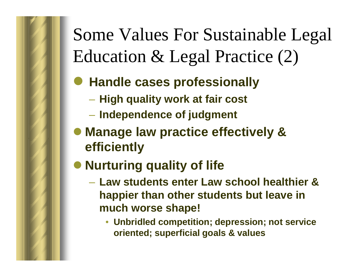#### Some Values For Sustainable Legal Education & Legal Practice (2)

#### $\bullet$ **Handle cases professionally**

- **High quality work at fair cost**
- **Independence of judgment**
- **Manage law practice effectively & efficiently**
- **Nurturing quality of life**
	- – **Law students enter Law school healthier & happier than other students but leave in much worse shape!**
		- **Unbridled competition; depression; not service oriented; superficial goals & values**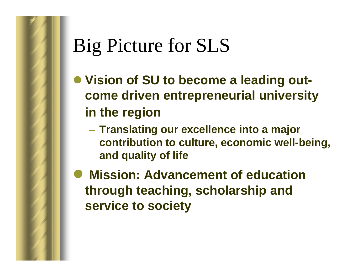#### Big Picture for SLS

- **Vision of SU to become a leading outcome driven entrepreneurial university in the region**
	- – **Translating our excellence into a major contribution to culture, economic well-being, and quality of life**
- $\bullet$  **Mission: Advancement of education through teaching, scholarship and service to society**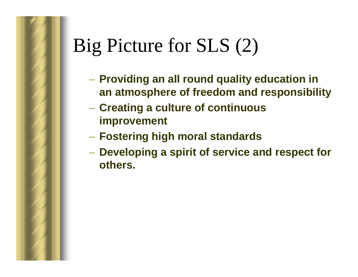# Big Picture for SLS (2)

- **Providing an all round quality education in an atmosphere of freedom and responsibility**
- – **Creating a culture of continuous improvement**
- **Fostering high moral standards**
- **Developing a spirit of service and respect for others.**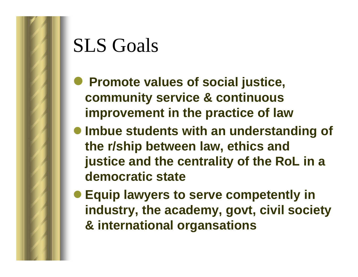#### SLS Goals

- **Promote values of social justice,**<br> **Remmunity convise 8 continuous community service & continuous improvement in the practice of law**
- **Imbue students with an understanding of the r/ship between law, ethics and justice and the centrality of the RoL in a democratic state**
- **Equip lawyers to serve competently in industry, the academy, govt, civil society & international organsations**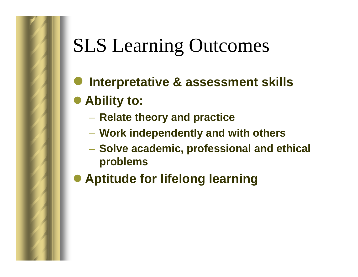# SLS Learning Outcomes

- $\bullet$ **Interpretative & assessment skills**
- **Ability to:**
	- $-$  Relate theory and practice
	- **Work independently and with others**
	- **Solve academic, professional and ethical problems**
- **Aptitude for lifelong learning**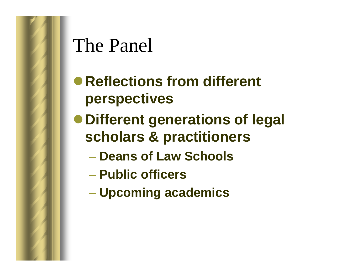#### The Panel

- **Reflections from different perspectives**
- **Different generations of legal scholars & practitioners**
	- **Deans of Law Schools**
	- **Public officers**
	- **Upcoming academics**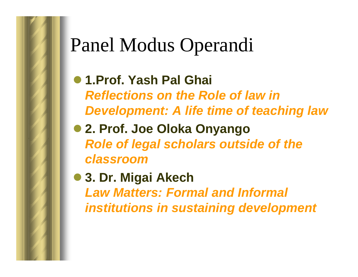#### Panel Modus Operandi

- **1.Prof. Yash Pal Ghai Reflections on the Role of law in Development: A life time of teaching law**
- **2. Prof. Joe Oloka Onyango Role of legal scholars outside of the classroom**
- **3. Dr. Migai Akech Law Matters: Formal and Informal institutions in sustaining development**